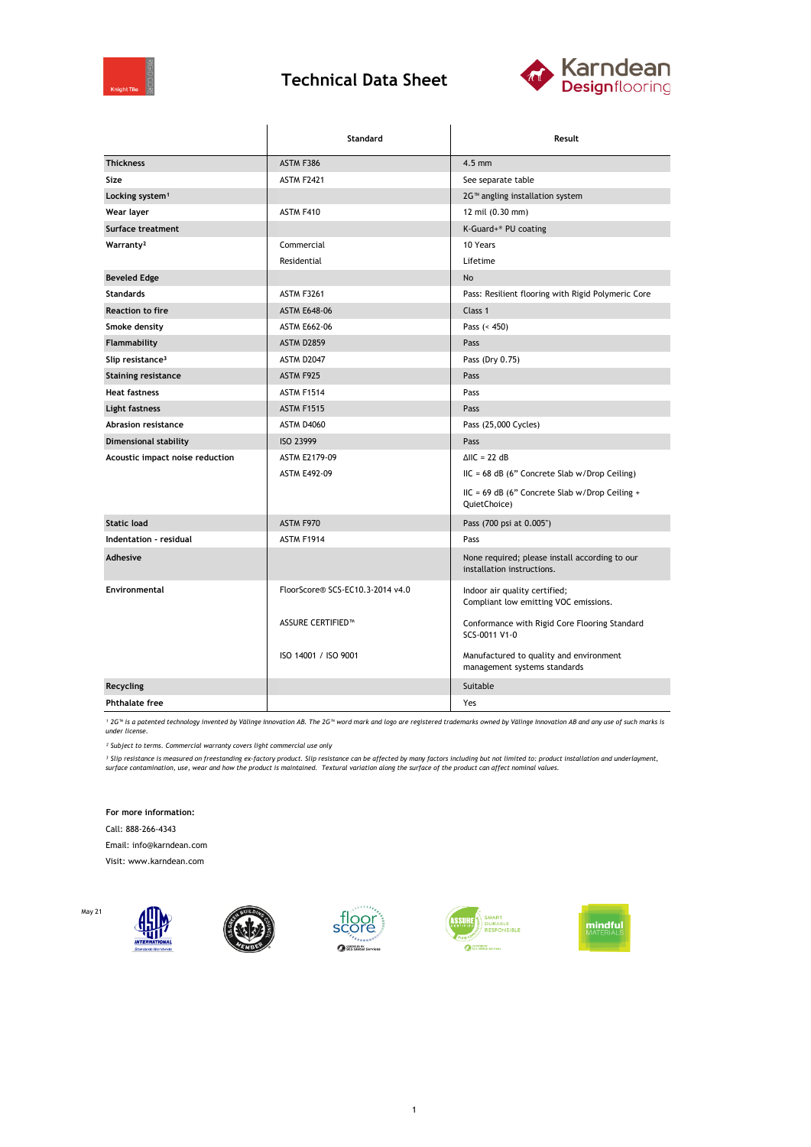

## **Technical Data Sheet**



|                                 | Standard                         | Result                                                                       |  |
|---------------------------------|----------------------------------|------------------------------------------------------------------------------|--|
| <b>Thickness</b>                | ASTM F386                        | $4.5$ mm                                                                     |  |
| Size                            | <b>ASTM F2421</b>                | See separate table                                                           |  |
| Locking system <sup>1</sup>     |                                  | 2G™ angling installation system                                              |  |
| Wear layer                      | ASTM F410                        | 12 mil (0.30 mm)                                                             |  |
| Surface treatment               |                                  | K-Guard+® PU coating                                                         |  |
| Warranty <sup>2</sup>           | Commercial                       | 10 Years                                                                     |  |
|                                 | Residential                      | Lifetime                                                                     |  |
| <b>Beveled Edge</b>             |                                  | <b>No</b>                                                                    |  |
| <b>Standards</b>                | <b>ASTM F3261</b>                | Pass: Resilient flooring with Rigid Polymeric Core                           |  |
| <b>Reaction to fire</b>         | <b>ASTM E648-06</b>              | Class 1                                                                      |  |
| Smoke density                   | <b>ASTM E662-06</b>              | Pass $(< 450)$                                                               |  |
| Flammability                    | <b>ASTM D2859</b>                | Pass                                                                         |  |
| Slip resistance <sup>3</sup>    | <b>ASTM D2047</b>                | Pass (Dry 0.75)                                                              |  |
| <b>Staining resistance</b>      | ASTM F925                        | Pass                                                                         |  |
| <b>Heat fastness</b>            | ASTM F1514                       | Pass                                                                         |  |
| Light fastness                  | <b>ASTM F1515</b>                | Pass                                                                         |  |
| Abrasion resistance             | <b>ASTM D4060</b>                | Pass (25,000 Cycles)                                                         |  |
| Dimensional stability           | ISO 23999                        | Pass                                                                         |  |
| Acoustic impact noise reduction | ASTM E2179-09                    | $\triangle$ IIC = 22 dB                                                      |  |
|                                 | <b>ASTM E492-09</b>              | $HC = 68 dB$ (6" Concrete Slab w/Drop Ceiling)                               |  |
|                                 |                                  | $HC = 69 dB$ (6" Concrete Slab w/Drop Ceiling +<br>QuietChoice)              |  |
| <b>Static load</b>              | ASTM F970                        | Pass (700 psi at 0.005")                                                     |  |
| Indentation - residual          | ASTM F1914                       | Pass                                                                         |  |
| Adhesive                        |                                  | None required; please install according to our<br>installation instructions. |  |
| Environmental                   | FloorScore® SCS-EC10.3-2014 v4.0 | Indoor air quality certified;<br>Compliant low emitting VOC emissions.       |  |
|                                 | <b>ASSURE CERTIFIED™</b>         | Conformance with Rigid Core Flooring Standard<br>SCS-0011 V1-0               |  |
|                                 | ISO 14001 / ISO 9001             | Manufactured to quality and environment<br>management systems standards      |  |
| Recycling                       |                                  | Suitable                                                                     |  |
| <b>Phthalate free</b>           |                                  | Yes                                                                          |  |

*¹ 2G™ is a patented technology invented by Välinge Innovation AB. The 2G™ word mark and logo are registered trademarks owned by Välinge Innovation AB and any use of such marks is under license.*

*² Subject to terms. Commercial warranty covers light commercial use only*

<sup>3</sup> Slip resistance is measured on freestanding ex-factory product. Slip resistance can be affected by many factors including but not limited to: product installation and underlayment,<br>surface contamination, use, wear and

**For more information:**

Call: 888-266-4343

Email: info@karndean.com

Visit: www.karndean.com

May 21